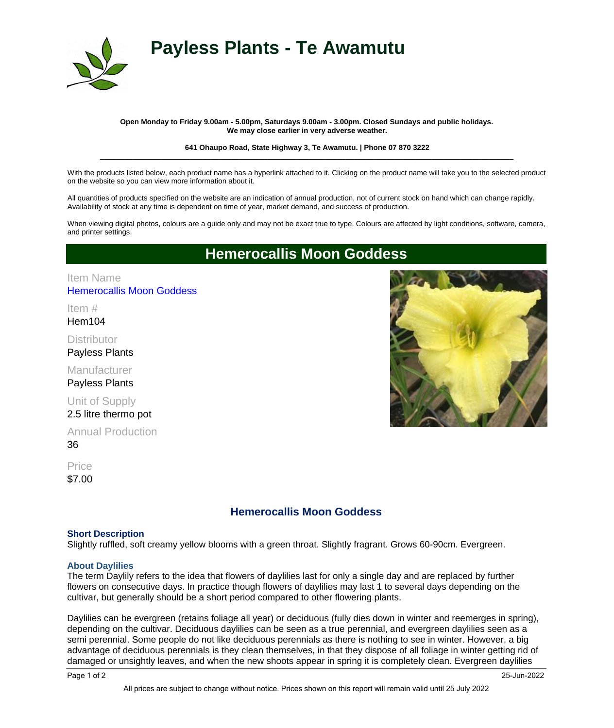

# **Payless Plants - Te Awamutu**

### **Open Monday to Friday 9.00am - 5.00pm, Saturdays 9.00am - 3.00pm. Closed Sundays and public holidays. We may close earlier in very adverse weather.**

#### **641 Ohaupo Road, State Highway 3, Te Awamutu. | Phone 07 870 3222** \_\_\_\_\_\_\_\_\_\_\_\_\_\_\_\_\_\_\_\_\_\_\_\_\_\_\_\_\_\_\_\_\_\_\_\_\_\_\_\_\_\_\_\_\_\_\_\_\_\_\_\_\_\_\_\_\_\_\_\_\_\_\_\_\_\_\_\_\_\_\_\_\_\_\_\_\_\_\_\_\_\_\_\_\_\_\_\_\_\_\_\_\_\_\_\_\_\_\_\_\_

With the products listed below, each product name has a hyperlink attached to it. Clicking on the product name will take you to the selected product on the website so you can view more information about it.

All quantities of products specified on the website are an indication of annual production, not of current stock on hand which can change rapidly. Availability of stock at any time is dependent on time of year, market demand, and success of production.

When viewing digital photos, colours are a guide only and may not be exact true to type. Colours are affected by light conditions, software, camera, and printer settings.

# **Hemerocallis Moon Goddess**

# [Hemerocallis Moon Goddess](http://www.paylessplants.co.nz/shop/item.aspx?itemid=14) Item Name

Hem104 Item #

**Distributor** Payless Plants

Manufacturer Payless Plants

Unit of Supply 2.5 litre thermo pot

36 Annual Production

\$7.00 **Price** 

# **Hemerocallis Moon Goddess**

## **Short Description**

Slightly ruffled, soft creamy yellow blooms with a green throat. Slightly fragrant. Grows 60-90cm. Evergreen.

## **About Daylilies**

The term Daylily refers to the idea that flowers of daylilies last for only a single day and are replaced by further flowers on consecutive days. In practice though flowers of daylilies may last 1 to several days depending on the cultivar, but generally should be a short period compared to other flowering plants.

Daylilies can be evergreen (retains foliage all year) or deciduous (fully dies down in winter and reemerges in spring), depending on the cultivar. Deciduous daylilies can be seen as a true perennial, and evergreen daylilies seen as a semi perennial. Some people do not like deciduous perennials as there is nothing to see in winter. However, a big advantage of deciduous perennials is they clean themselves, in that they dispose of all foliage in winter getting rid of damaged or unsightly leaves, and when the new shoots appear in spring it is completely clean. Evergreen daylilies